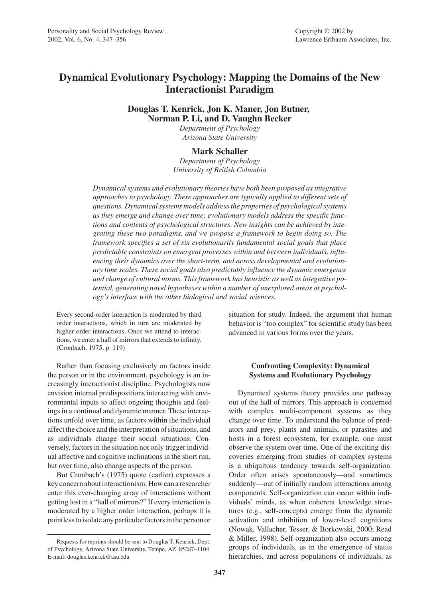# **Dynamical Evolutionary Psychology: Mapping the Domains of the New Interactionist Paradigm**

# **Douglas T. Kenrick, Jon K. Maner, Jon Butner, Norman P. Li, and D. Vaughn Becker**

*Department of Psychology Arizona State University*

# **Mark Schaller**

*Department of Psychology University of British Columbia*

*Dynamical systems and evolutionary theories have both been proposed as integrative approaches to psychology. These approaches are typically applied to different sets of questions. Dynamical systems models address the properties of psychological systems as they emerge and change over time; evolutionary models address the specific functions and contents of psychological structures. New insights can be achieved by integrating these two paradigms, and we propose a framework to begin doing so. The framework specifies a set of six evolutionarily fundamental social goals that place predictable constraints on emergent processes within and between individuals, influencing their dynamics over the short-term, and across developmental and evolutionary time scales. These social goals also predictably influence the dynamic emergence and change of cultural norms. This framework has heuristic as well as integrative potential, generating novel hypotheses within a number of unexplored areas at psychology's interface with the other biological and social sciences.*

Every second-order interaction is moderated by third order interactions, which in turn are moderated by higher order interactions. Once we attend to interactions, we enter a hall of mirrors that extends to infinity. (Cronbach, 1975, p. 119)

Rather than focusing exclusively on factors inside the person or in the environment, psychology is an increasingly interactionist discipline. Psychologists now envision internal predispositions interacting with environmental inputs to affect ongoing thoughts and feelings in a continual and dynamic manner. These interactions unfold over time, as factors within the individual affect the choice and the interpretation of situations, and as individuals change their social situations. Conversely, factors in the situation not only trigger individual affective and cognitive inclinations in the short run, but over time, also change aspects of the person.

But Cronbach's (1975) quote (earlier) expresses a key concern about interactionism: How can a researcher enter this ever-changing array of interactions without getting lost in a "hall of mirrors?" If every interaction is moderated by a higher order interaction, perhaps it is pointless to isolate any particular factors in the person or situation for study. Indeed, the argument that human behavior is "too complex" for scientific study has been advanced in various forms over the years.

# **Confronting Complexity: Dynamical Systems and Evolutionary Psychology**

Dynamical systems theory provides one pathway out of the hall of mirrors. This approach is concerned with complex multi-component systems as they change over time. To understand the balance of predators and prey, plants and animals, or parasites and hosts in a forest ecosystem, for example, one must observe the system over time. One of the exciting discoveries emerging from studies of complex systems is a ubiquitous tendency towards self-organization. Order often arises spontaneously—and sometimes suddenly—out of initially random interactions among components. Self-organization can occur within individuals' minds, as when coherent knowledge structures (e.g., self-concepts) emerge from the dynamic activation and inhibition of lower-level cognitions (Nowak, Vallacher, Tesser, & Borkowski, 2000; Read & Miller, 1998). Self-organization also occurs among groups of individuals, as in the emergence of status hierarchies, and across populations of individuals, as

Requests for reprints should be sent to Douglas T. Kenrick, Dept. of Psychology, Arizona State University, Tempe, AZ 85287–1104. E-mail: douglas.kenrick@asu.edu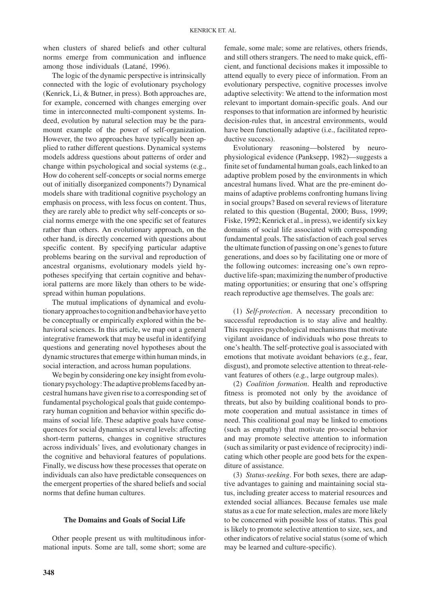when clusters of shared beliefs and other cultural norms emerge from communication and influence among those individuals (Latané, 1996).

The logic of the dynamic perspective is intrinsically connected with the logic of evolutionary psychology (Kenrick, Li, & Butner, in press). Both approaches are, for example, concerned with changes emerging over time in interconnected multi-component systems. Indeed, evolution by natural selection may be the paramount example of the power of self-organization. However, the two approaches have typically been applied to rather different questions. Dynamical systems models address questions about patterns of order and change within psychological and social systems (e.g., How do coherent self-concepts or social norms emerge out of initially disorganized components?) Dynamical models share with traditional cognitive psychology an emphasis on process, with less focus on content. Thus, they are rarely able to predict why self-concepts or social norms emerge with the one specific set of features rather than others. An evolutionary approach, on the other hand, is directly concerned with questions about specific content. By specifying particular adaptive problems bearing on the survival and reproduction of ancestral organisms, evolutionary models yield hypotheses specifying that certain cognitive and behavioral patterns are more likely than others to be widespread within human populations.

The mutual implications of dynamical and evolutionary approaches to cognition and behavior have yet to be conceptually or empirically explored within the behavioral sciences. In this article, we map out a general integrative framework that may be useful in identifying questions and generating novel hypotheses about the dynamic structures that emerge within human minds, in social interaction, and across human populations.

We begin by considering one key insight from evolutionary psychology: The adaptive problems faced by ancestral humans have given rise to a corresponding set of fundamental psychological goals that guide contemporary human cognition and behavior within specific domains of social life. These adaptive goals have consequences for social dynamics at several levels: affecting short-term patterns, changes in cognitive structures across individuals' lives, and evolutionary changes in the cognitive and behavioral features of populations. Finally, we discuss how these processes that operate on individuals can also have predictable consequences on the emergent properties of the shared beliefs and social norms that define human cultures.

#### **The Domains and Goals of Social Life**

Other people present us with multitudinous informational inputs. Some are tall, some short; some are

female, some male; some are relatives, others friends, and still others strangers. The need to make quick, efficient, and functional decisions makes it impossible to attend equally to every piece of information. From an evolutionary perspective, cognitive processes involve adaptive selectivity: We attend to the information most relevant to important domain-specific goals. And our responses to that information are informed by heuristic decision-rules that, in ancestral environments, would have been functionally adaptive (i.e., facilitated reproductive success).

Evolutionary reasoning—bolstered by neurophysiological evidence (Panksepp, 1982)—suggests a finite set of fundamental human goals, each linked to an adaptive problem posed by the environments in which ancestral humans lived. What are the pre-eminent domains of adaptive problems confronting humans living in social groups? Based on several reviews of literature related to this question (Bugental, 2000; Buss, 1999; Fiske, 1992; Kenrick et al., in press), we identify six key domains of social life associated with corresponding fundamental goals. The satisfaction of each goal serves the ultimate function of passing on one's genes to future generations, and does so by facilitating one or more of the following outcomes: increasing one's own reproductive life-span; maximizing the number of productive mating opportunities; or ensuring that one's offspring reach reproductive age themselves. The goals are:

(1) *Self-protection*. A necessary precondition to successful reproduction is to stay alive and healthy. This requires psychological mechanisms that motivate vigilant avoidance of individuals who pose threats to one's health. The self-protective goal is associated with emotions that motivate avoidant behaviors (e.g., fear, disgust), and promote selective attention to threat-relevant features of others (e.g., large outgroup males).

(2) *Coalition formation*. Health and reproductive fitness is promoted not only by the avoidance of threats, but also by building coalitional bonds to promote cooperation and mutual assistance in times of need. This coalitional goal may be linked to emotions (such as empathy) that motivate pro-social behavior and may promote selective attention to information (such as similarity or past evidence of reciprocity) indicating which other people are good bets for the expenditure of assistance.

(3) *Status-seeking*. For both sexes, there are adaptive advantages to gaining and maintaining social status, including greater access to material resources and extended social alliances. Because females use male status as a cue for mate selection, males are more likely to be concerned with possible loss of status. This goal is likely to promote selective attention to size, sex, and other indicators of relative social status (some of which may be learned and culture-specific).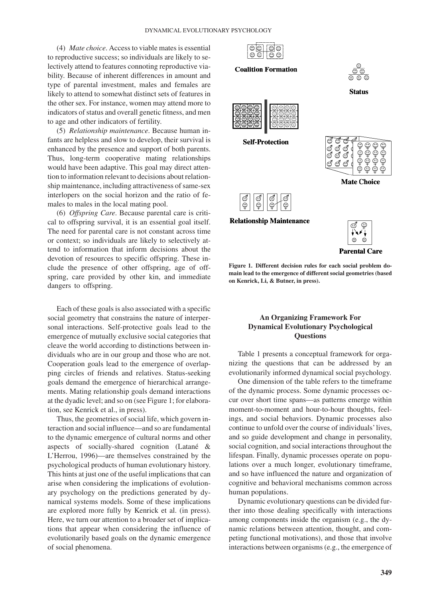(4) *Mate choice*. Access to viable mates is essential to reproductive success; so individuals are likely to selectively attend to features connoting reproductive viability. Because of inherent differences in amount and type of parental investment, males and females are likely to attend to somewhat distinct sets of features in the other sex. For instance, women may attend more to indicators of status and overall genetic fitness, and men to age and other indicators of fertility.

(5) *Relationship maintenance*. Because human infants are helpless and slow to develop, their survival is enhanced by the presence and support of both parents. Thus, long-term cooperative mating relationships would have been adaptive. This goal may direct attention to information relevant to decisions about relationship maintenance, including attractiveness of same-sex interlopers on the social horizon and the ratio of females to males in the local mating pool.

(6) *Offspring Care*. Because parental care is critical to offspring survival, it is an essential goal itself. The need for parental care is not constant across time or context; so individuals are likely to selectively attend to information that inform decisions about the devotion of resources to specific offspring. These include the presence of other offspring, age of offspring, care provided by other kin, and immediate dangers to offspring.

Each of these goals is also associated with a specific social geometry that constrains the nature of interpersonal interactions. Self-protective goals lead to the emergence of mutually exclusive social categories that cleave the world according to distinctions between individuals who are in our group and those who are not. Cooperation goals lead to the emergence of overlapping circles of friends and relatives. Status-seeking goals demand the emergence of hierarchical arrangements. Mating relationship goals demand interactions at the dyadic level; and so on (see Figure 1; for elaboration, see Kenrick et al., in press).

Thus, the geometries of social life, which govern interaction and social influence—and so are fundamental to the dynamic emergence of cultural norms and other aspects of socially-shared cognition (Latané & L'Herrou, 1996)—are themselves constrained by the psychological products of human evolutionary history. This hints at just one of the useful implications that can arise when considering the implications of evolutionary psychology on the predictions generated by dynamical systems models. Some of these implications are explored more fully by Kenrick et al. (in press). Here, we turn our attention to a broader set of implications that appear when considering the influence of evolutionarily based goals on the dynamic emergence of social phenomena.



#### **Coalition Formation**



Status



**Self-Protection** 



ç

**Relationship Maintenance** 



**Figure 1. Different decision rules for each social problem domain lead to the emergence of different social geometries (based on Kenrick, Li, & Butner, in press).**

# **An Organizing Framework For Dynamical Evolutionary Psychological Questions**

Table 1 presents a conceptual framework for organizing the questions that can be addressed by an evolutionarily informed dynamical social psychology.

One dimension of the table refers to the timeframe of the dynamic process. Some dynamic processes occur over short time spans—as patterns emerge within moment-to-moment and hour-to-hour thoughts, feelings, and social behaviors. Dynamic processes also continue to unfold over the course of individuals' lives, and so guide development and change in personality, social cognition, and social interactions throughout the lifespan. Finally, dynamic processes operate on populations over a much longer, evolutionary timeframe, and so have influenced the nature and organization of cognitive and behavioral mechanisms common across human populations.

Dynamic evolutionary questions can be divided further into those dealing specifically with interactions among components inside the organism (e.g., the dynamic relations between attention, thought, and competing functional motivations), and those that involve interactions between organisms (e.g., the emergence of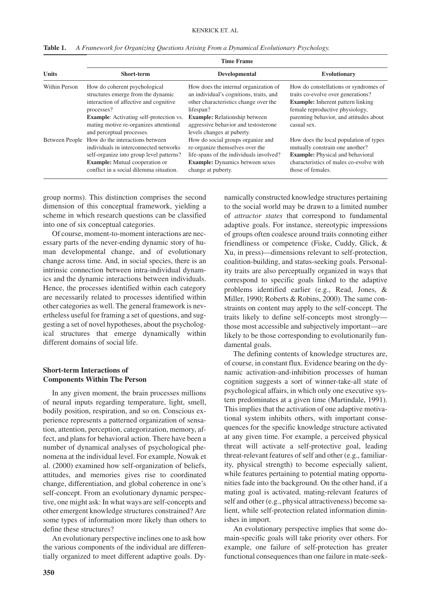| <b>Units</b>   | <b>Time Frame</b>                                                                                                                                                                                         |                                                                                                                                                                                 |                                                                                                                                                                                      |
|----------------|-----------------------------------------------------------------------------------------------------------------------------------------------------------------------------------------------------------|---------------------------------------------------------------------------------------------------------------------------------------------------------------------------------|--------------------------------------------------------------------------------------------------------------------------------------------------------------------------------------|
|                | Short-term                                                                                                                                                                                                | Developmental                                                                                                                                                                   | Evolutionary                                                                                                                                                                         |
| Within Person  | How do coherent psychological<br>structures emerge from the dynamic<br>interaction of affective and cognitive<br>processes?                                                                               | How does the internal organization of<br>an individual's cognitions, traits, and<br>other characteristics change over the<br>lifespan?                                          | How do constellations or syndromes of<br>traits co-evolve over generations?<br><b>Example:</b> Inherent pattern linking<br>female reproductive physiology,                           |
|                | <b>Example:</b> Activating self-protection vs.<br>mating motive re-organizes attentional<br>and perceptual processes.                                                                                     | <b>Example:</b> Relationship between<br>aggressive behavior and testosterone<br>levels changes at puberty.                                                                      | parenting behavior, and attitudes about<br>casual sex.                                                                                                                               |
| Between People | How do the interactions between<br>individuals in interconnected networks<br>self-organize into group level patterns?<br><b>Example:</b> Mutual cooperation or<br>conflict in a social dilemma situation. | How do social groups organize and<br>re-organize themselves over the<br>life-spans of the individuals involved?<br><b>Example:</b> Dynamics between sexes<br>change at puberty. | How does the local population of types<br>mutually constrain one another?<br><b>Example:</b> Physical and behavioral<br>characteristics of males co-evolve with<br>those of females. |

**Table 1.** *A Framework for Organizing Questions Arising From a Dynamical Evolutionary Psychology.*

group norms). This distinction comprises the second dimension of this conceptual framework, yielding a scheme in which research questions can be classified into one of six conceptual categories.

Of course, moment-to-moment interactions are necessary parts of the never-ending dynamic story of human developmental change, and of evolutionary change across time. And, in social species, there is an intrinsic connection between intra-individual dynamics and the dynamic interactions between individuals. Hence, the processes identified within each category are necessarily related to processes identified within other categories as well. The general framework is nevertheless useful for framing a set of questions, and suggesting a set of novel hypotheses, about the psychological structures that emerge dynamically within different domains of social life.

# **Short-term Interactions of Components Within The Person**

In any given moment, the brain processes millions of neural inputs regarding temperature, light, smell, bodily position, respiration, and so on. Conscious experience represents a patterned organization of sensation, attention, perception, categorization, memory, affect, and plans for behavioral action. There have been a number of dynamical analyses of psychological phenomena at the individual level. For example, Nowak et al. (2000) examined how self-organization of beliefs, attitudes, and memories gives rise to coordinated change, differentiation, and global coherence in one's self-concept. From an evolutionary dynamic perspective, one might ask: In what ways are self-concepts and other emergent knowledge structures constrained? Are some types of information more likely than others to define these structures?

An evolutionary perspective inclines one to ask how the various components of the individual are differentially organized to meet different adaptive goals. Dy-

namically constructed knowledge structures pertaining to the social world may be drawn to a limited number of *attractor states* that correspond to fundamental adaptive goals. For instance, stereotypic impressions of groups often coalesce around traits connoting either friendliness or competence (Fiske, Cuddy, Glick, & Xu, in press)—dimensions relevant to self-protection, coalition-building, and status-seeking goals. Personality traits are also perceptually organized in ways that correspond to specific goals linked to the adaptive problems identified earlier (e.g., Read, Jones, & Miller, 1990; Roberts & Robins, 2000). The same constraints on content may apply to the self-concept. The traits likely to define self-concepts most strongly those most accessible and subjectively important—are likely to be those corresponding to evolutionarily fundamental goals.

The defining contents of knowledge structures are, of course, in constant flux. Evidence bearing on the dynamic activation-and-inhibition processes of human cognition suggests a sort of winner-take-all state of psychological affairs, in which only one executive system predominates at a given time (Martindale, 1991). This implies that the activation of one adaptive motivational system inhibits others, with important consequences for the specific knowledge structure activated at any given time. For example, a perceived physical threat will activate a self-protective goal, leading threat-relevant features of self and other (e.g., familiarity, physical strength) to become especially salient, while features pertaining to potential mating opportunities fade into the background. On the other hand, if a mating goal is activated, mating-relevant features of self and other (e.g., physical attractiveness) become salient, while self-protection related information diminishes in import.

An evolutionary perspective implies that some domain-specific goals will take priority over others. For example, one failure of self-protection has greater functional consequences than one failure in mate-seek-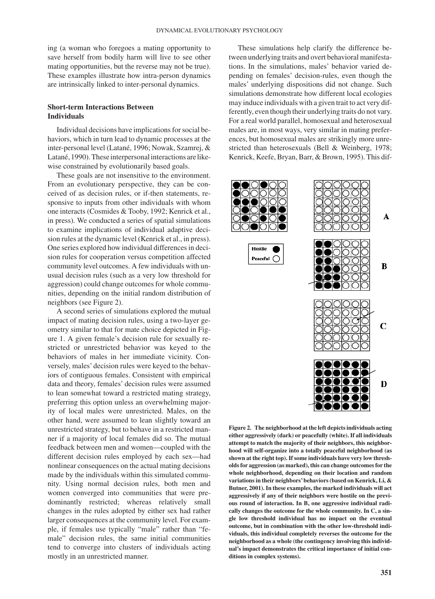ing (a woman who foregoes a mating opportunity to save herself from bodily harm will live to see other mating opportunities, but the reverse may not be true). These examples illustrate how intra-person dynamics are intrinsically linked to inter-personal dynamics.

### **Short-term Interactions Between Individuals**

Individual decisions have implications for social behaviors, which in turn lead to dynamic processes at the inter-personal level (Latané, 1996; Nowak, Szamrej, & Latané, 1990). These interpersonal interactions are likewise constrained by evolutionarily based goals.

These goals are not insensitive to the environment. From an evolutionary perspective, they can be conceived of as decision rules, or if-then statements, responsive to inputs from other individuals with whom one interacts (Cosmides & Tooby, 1992; Kenrick et al., in press). We conducted a series of spatial simulations to examine implications of individual adaptive decision rules at the dynamic level (Kenrick et al., in press). One series explored how individual differences in decision rules for cooperation versus competition affected community level outcomes. A few individuals with unusual decision rules (such as a very low threshold for aggression) could change outcomes for whole communities, depending on the initial random distribution of neighbors (see Figure 2).

A second series of simulations explored the mutual impact of mating decision rules, using a two-layer geometry similar to that for mate choice depicted in Figure 1. A given female's decision rule for sexually restricted or unrestricted behavior was keyed to the behaviors of males in her immediate vicinity. Conversely, males' decision rules were keyed to the behaviors of contiguous females. Consistent with empirical data and theory, females' decision rules were assumed to lean somewhat toward a restricted mating strategy, preferring this option unless an overwhelming majority of local males were unrestricted. Males, on the other hand, were assumed to lean slightly toward an unrestricted strategy, but to behave in a restricted manner if a majority of local females did so. The mutual feedback between men and women—coupled with the different decision rules employed by each sex—had nonlinear consequences on the actual mating decisions made by the individuals within this simulated community. Using normal decision rules, both men and women converged into communities that were predominantly restricted; whereas relatively small changes in the rules adopted by either sex had rather larger consequences at the community level. For example, if females use typically "male" rather than "female" decision rules, the same initial communities tend to converge into clusters of individuals acting mostly in an unrestricted manner.

These simulations help clarify the difference between underlying traits and overt behavioral manifestations. In the simulations, males' behavior varied depending on females' decision-rules, even though the males' underlying dispositions did not change. Such simulations demonstrate how different local ecologies may induce individuals with a given trait to act very differently, even though their underlying traits do not vary. For a real world parallel, homosexual and heterosexual males are, in most ways, very similar in mating preferences, but homosexual males are strikingly more unrestricted than heterosexuals (Bell & Weinberg, 1978; Kenrick, Keefe, Bryan, Barr, & Brown, 1995). This dif-



**Figure 2. The neighborhood at the left depicts individuals acting either aggressively (dark) or peacefully (white). If all individuals attempt to match the majority of their neighbors, this neighborhood will self-organize into a totally peaceful neighborhood (as shown at the right top). If some individuals have very low thresholds for aggression (as marked), this can change outcomes for the whole neighborhood, depending on their location and random variations in their neighbors'behaviors (based on Kenrick, Li, & Butner, 2001). In these examples, the marked individuals will act aggressively if any of their neighbors were hostile on the previous round of interaction. In B, one aggressive individual radically changes the outcome for the whole community. In C, a single low threshold individual has no impact on the eventual outcome, but in combination with the other low-threshold individuals, this individual completely reverses the outcome for the neighborhood as a whole (the contingency involving this individual's impact demonstrates the critical importance of initial conditions in complex systems).**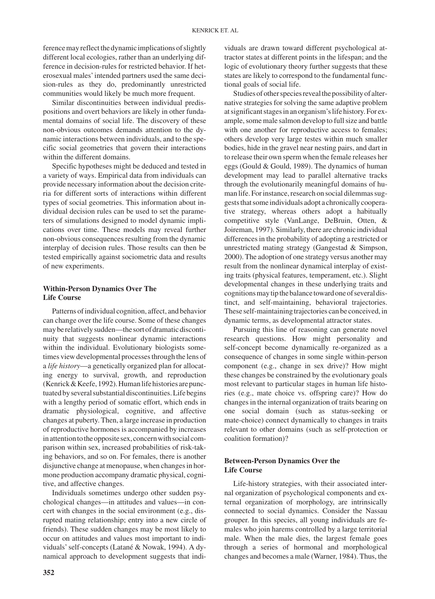ference may reflect the dynamic implications of slightly different local ecologies, rather than an underlying difference in decision-rules for restricted behavior. If heterosexual males' intended partners used the same decision-rules as they do, predominantly unrestricted communities would likely be much more frequent.

Similar discontinuities between individual predispositions and overt behaviors are likely in other fundamental domains of social life. The discovery of these non-obvious outcomes demands attention to the dynamic interactions between individuals, and to the specific social geometries that govern their interactions within the different domains.

Specific hypotheses might be deduced and tested in a variety of ways. Empirical data from individuals can provide necessary information about the decision criteria for different sorts of interactions within different types of social geometries. This information about individual decision rules can be used to set the parameters of simulations designed to model dynamic implications over time. These models may reveal further non-obvious consequences resulting from the dynamic interplay of decision rules. Those results can then be tested empirically against sociometric data and results of new experiments.

## **Within-Person Dynamics Over The Life Course**

Patterns of individual cognition, affect, and behavior can change over the life course. Some of these changes may be relatively sudden—the sort of dramatic discontinuity that suggests nonlinear dynamic interactions within the individual. Evolutionary biologists sometimes view developmental processes through the lens of a *life history*—a genetically organized plan for allocating energy to survival, growth, and reproduction (Kenrick&Keefe,1992).Humanlifehistoriesarepunctuated by several substantial discontinuities. Life begins with a lengthy period of somatic effort, which ends in dramatic physiological, cognitive, and affective changes at puberty. Then, a large increase in production of reproductive hormones is accompanied by increases in attention to the opposite sex, concern with social comparison within sex, increased probabilities of risk-taking behaviors, and so on. For females, there is another disjunctive change at menopause, when changes in hormone production accompany dramatic physical, cognitive, and affective changes.

Individuals sometimes undergo other sudden psychological changes—in attitudes and values—in concert with changes in the social environment (e.g., disrupted mating relationship; entry into a new circle of friends). These sudden changes may be most likely to occur on attitudes and values most important to individuals' self-concepts (Latané & Nowak, 1994). A dynamical approach to development suggests that indi-

**352**

viduals are drawn toward different psychological attractor states at different points in the lifespan; and the logic of evolutionary theory further suggests that these states are likely to correspond to the fundamental functional goals of social life.

Studies of other species reveal the possibility of alternative strategies for solving the same adaptive problem at significant stages in an organism's life history. For example, some male salmon develop to full size and battle with one another for reproductive access to females; others develop very large testes within much smaller bodies, hide in the gravel near nesting pairs, and dart in to release their own sperm when the female releases her eggs (Gould & Gould, 1989). The dynamics of human development may lead to parallel alternative tracks through the evolutionarily meaningful domains of human life. For instance, research on social dilemmas suggests that some individuals adopt a chronically cooperative strategy, whereas others adopt a habitually competitive style (VanLange, DeBruin, Otten, & Joireman, 1997). Similarly, there are chronic individual differences in the probability of adopting a restricted or unrestricted mating strategy (Gangestad & Simpson, 2000). The adoption of one strategy versus another may result from the nonlinear dynamical interplay of existing traits (physical features, temperament, etc.). Slight developmental changes in these underlying traits and cognitionsmaytipthebalancetowardoneofseveraldistinct, and self-maintaining, behavioral trajectories. These self-maintaining trajectories can be conceived, in dynamic terms, as developmental attractor states.

Pursuing this line of reasoning can generate novel research questions. How might personality and self-concept become dynamically re-organized as a consequence of changes in some single within-person component (e.g., change in sex drive)? How might these changes be constrained by the evolutionary goals most relevant to particular stages in human life histories (e.g., mate choice vs. offspring care)? How do changes in the internal organization of traits bearing on one social domain (such as status-seeking or mate-choice) connect dynamically to changes in traits relevant to other domains (such as self-protection or coalition formation)?

### **Between-Person Dynamics Over the Life Course**

Life-history strategies, with their associated internal organization of psychological components and external organization of morphology, are intrinsically connected to social dynamics. Consider the Nassau grouper. In this species, all young individuals are females who join harems controlled by a large territorial male. When the male dies, the largest female goes through a series of hormonal and morphological changes and becomes a male (Warner, 1984). Thus, the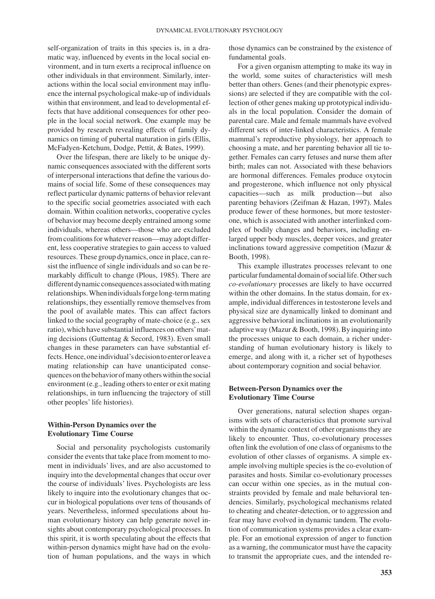self-organization of traits in this species is, in a dramatic way, influenced by events in the local social environment, and in turn exerts a reciprocal influence on other individuals in that environment. Similarly, interactions within the local social environment may influence the internal psychological make-up of individuals within that environment, and lead to developmental effects that have additional consequences for other people in the local social network. One example may be provided by research revealing effects of family dynamics on timing of pubertal maturation in girls (Ellis, McFadyen-Ketchum, Dodge, Pettit, & Bates, 1999).

Over the lifespan, there are likely to be unique dynamic consequences associated with the different sorts of interpersonal interactions that define the various domains of social life. Some of these consequences may reflect particular dynamic patterns of behavior relevant to the specific social geometries associated with each domain. Within coalition networks, cooperative cycles of behavior may become deeply entrained among some individuals, whereas others—those who are excluded from coalitions for whatever reason—may adopt different, less cooperative strategies to gain access to valued resources. These group dynamics, once in place, can resist the influence of single individuals and so can be remarkably difficult to change (Plous, 1985). There are different dynamic consequences associated with mating relationships. When individuals forgelong-term mating relationships, they essentially remove themselves from the pool of available mates. This can affect factors linked to the social geography of mate-choice (e.g., sex ratio), which have substantial influences on others'mating decisions (Guttentag & Secord, 1983). Even small changes in these parameters can have substantial effects. Hence, one individual's decision to enter or leave a mating relationship can have unanticipated consequencesonthebehaviorofmanyotherswithinthesocial environment (e.g., leading others to enter or exit mating relationships, in turn influencing the trajectory of still other peoples' life histories).

#### **Within-Person Dynamics over the Evolutionary Time Course**

Social and personality psychologists customarily consider the events that take place from moment to moment in individuals' lives, and are also accustomed to inquiry into the developmental changes that occur over the course of individuals' lives. Psychologists are less likely to inquire into the evolutionary changes that occur in biological populations over tens of thousands of years. Nevertheless, informed speculations about human evolutionary history can help generate novel insights about contemporary psychological processes. In this spirit, it is worth speculating about the effects that within-person dynamics might have had on the evolution of human populations, and the ways in which

those dynamics can be constrained by the existence of fundamental goals.

For a given organism attempting to make its way in the world, some suites of characteristics will mesh better than others. Genes (and their phenotypic expressions) are selected if they are compatible with the collection of other genes making up prototypical individuals in the local population. Consider the domain of parental care. Male and female mammals have evolved different sets of inter-linked characteristics. A female mammal's reproductive physiology, her approach to choosing a mate, and her parenting behavior all tie together. Females can carry fetuses and nurse them after birth; males can not. Associated with these behaviors are hormonal differences. Females produce oxytocin and progesterone, which influence not only physical capacities—such as milk production—but also parenting behaviors (Zeifman & Hazan, 1997). Males produce fewer of these hormones, but more testosterone, which is associated with another interlinked complex of bodily changes and behaviors, including enlarged upper body muscles, deeper voices, and greater inclinations toward aggressive competition (Mazur & Booth, 1998).

This example illustrates processes relevant to one particular fundamental domain of social life. Other such *co-evolutionary* processes are likely to have occurred within the other domains. In the status domain, for example, individual differences in testosterone levels and physical size are dynamically linked to dominant and aggressive behavioral inclinations in an evolutionarily adaptive way (Mazur & Booth, 1998). By inquiring into the processes unique to each domain, a richer understanding of human evolutionary history is likely to emerge, and along with it, a richer set of hypotheses about contemporary cognition and social behavior.

#### **Between-Person Dynamics over the Evolutionary Time Course**

Over generations, natural selection shapes organisms with sets of characteristics that promote survival within the dynamic context of other organisms they are likely to encounter. Thus, co-evolutionary processes often link the evolution of one class of organisms to the evolution of other classes of organisms. A simple example involving multiple species is the co-evolution of parasites and hosts. Similar co-evolutionary processes can occur within one species, as in the mutual constraints provided by female and male behavioral tendencies. Similarly, psychological mechanisms related to cheating and cheater-detection, or to aggression and fear may have evolved in dynamic tandem. The evolution of communication systems provides a clear example. For an emotional expression of anger to function as a warning, the communicator must have the capacity to transmit the appropriate cues, and the intended re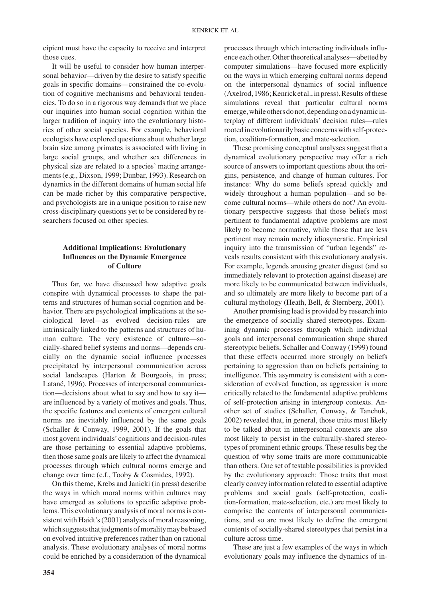cipient must have the capacity to receive and interpret those cues.

It will be useful to consider how human interpersonal behavior—driven by the desire to satisfy specific goals in specific domains—constrained the co-evolution of cognitive mechanisms and behavioral tendencies. To do so in a rigorous way demands that we place our inquiries into human social cognition within the larger tradition of inquiry into the evolutionary histories of other social species. For example, behavioral ecologists have explored questions about whether large brain size among primates is associated with living in large social groups, and whether sex differences in physical size are related to a species' mating arrangements (e.g., Dixson, 1999; Dunbar, 1993). Research on dynamics in the different domains of human social life can be made richer by this comparative perspective, and psychologists are in a unique position to raise new cross-disciplinary questions yet to be considered by researchers focused on other species.

### **Additional Implications: Evolutionary Influences on the Dynamic Emergence of Culture**

Thus far, we have discussed how adaptive goals conspire with dynamical processes to shape the patterns and structures of human social cognition and behavior. There are psychological implications at the sociological level—as evolved decision-rules are intrinsically linked to the patterns and structures of human culture. The very existence of culture—socially-shared belief systems and norms—depends crucially on the dynamic social influence processes precipitated by interpersonal communication across social landscapes (Harton & Bourgeois, in press; Latané, 1996). Processes of interpersonal communication—decisions about what to say and how to say it are influenced by a variety of motives and goals. Thus, the specific features and contents of emergent cultural norms are inevitably influenced by the same goals (Schaller & Conway, 1999, 2001). If the goals that most govern individuals' cognitions and decision-rules are those pertaining to essential adaptive problems, then those same goals are likely to affect the dynamical processes through which cultural norms emerge and change over time (c.f., Tooby & Cosmides, 1992).

On this theme, Krebs and Janicki (in press) describe the ways in which moral norms within cultures may have emerged as solutions to specific adaptive problems. This evolutionary analysis of moral norms is consistent with Haidt's (2001) analysis of moral reasoning, which suggests that judgments of morality may be based on evolved intuitive preferences rather than on rational analysis. These evolutionary analyses of moral norms could be enriched by a consideration of the dynamical

processes through which interacting individuals influence each other. Other theoretical analyses—abetted by computer simulations—have focused more explicitly on the ways in which emerging cultural norms depend on the interpersonal dynamics of social influence  $(Axelrod, 1986; Kenrick et al., in press)$ . Results of these simulations reveal that particular cultural norms emerge, while others do not, depending on a dynamic interplay of different individuals' decision rules—rules rootedinevolutionarilybasicconcernswithself-protection, coalition-formation, and mate-selection.

These promising conceptual analyses suggest that a dynamical evolutionary perspective may offer a rich source of answers to important questions about the origins, persistence, and change of human cultures. For instance: Why do some beliefs spread quickly and widely throughout a human population—and so become cultural norms—while others do not? An evolutionary perspective suggests that those beliefs most pertinent to fundamental adaptive problems are most likely to become normative, while those that are less pertinent may remain merely idiosyncratic. Empirical inquiry into the transmission of "urban legends" reveals results consistent with this evolutionary analysis. For example, legends arousing greater disgust (and so immediately relevant to protection against disease) are more likely to be communicated between individuals, and so ultimately are more likely to become part of a cultural mythology (Heath, Bell, & Sternberg, 2001).

Another promising lead is provided by research into the emergence of socially shared stereotypes. Examining dynamic processes through which individual goals and interpersonal communication shape shared stereotypic beliefs, Schaller and Conway (1999) found that these effects occurred more strongly on beliefs pertaining to aggression than on beliefs pertaining to intelligence. This asymmetry is consistent with a consideration of evolved function, as aggression is more critically related to the fundamental adaptive problems of self-protection arising in intergroup contexts. Another set of studies (Schaller, Conway, & Tanchuk, 2002) revealed that, in general, those traits most likely to be talked about in interpersonal contexts are also most likely to persist in the culturally-shared stereotypes of prominent ethnic groups. These results beg the question of why some traits are more communicable than others. One set of testable possibilities is provided by the evolutionary approach: Those traits that most clearly convey information related to essential adaptive problems and social goals (self-protection, coalition-formation, mate-selection, etc.) are most likely to comprise the contents of interpersonal communications, and so are most likely to define the emergent contents of socially-shared stereotypes that persist in a culture across time.

These are just a few examples of the ways in which evolutionary goals may influence the dynamics of in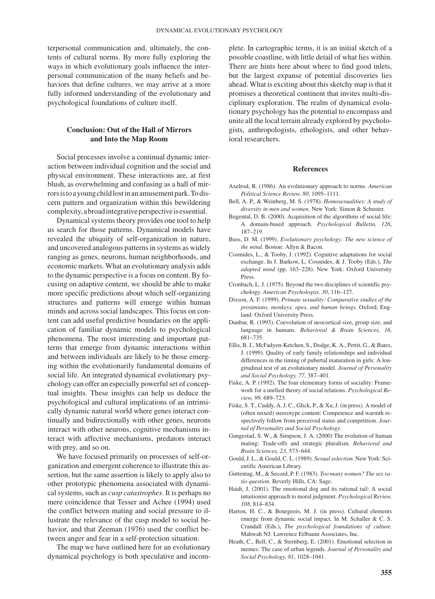terpersonal communication and, ultimately, the contents of cultural norms. By more fully exploring the ways in which evolutionary goals influence the interpersonal communication of the many beliefs and behaviors that define cultures, we may arrive at a more fully informed understanding of the evolutionary and psychological foundations of culture itself.

### **Conclusion: Out of the Hall of Mirrors and Into the Map Room**

Social processes involve a continual dynamic interaction between individual cognition and the social and physical environment. These interactions are, at first blush, as overwhelming and confusing as a hall of mirrorsistoayoungchildlostinanamusementpark.Todiscern pattern and organization within this bewildering complexity, a broad integrative perspective is essential.

Dynamical systems theory provides one tool to help us search for those patterns. Dynamical models have revealed the ubiquity of self-organization in nature, and uncovered analogous patterns in systems as widely ranging as genes, neurons, human neighborhoods, and economic markets. What an evolutionary analysis adds to the dynamic perspective is a focus on content. By focusing on adaptive content, we should be able to make more specific predictions about which self-organizing structures and patterns will emerge within human minds and across social landscapes. This focus on content can add useful predictive boundaries on the application of familiar dynamic models to psychological phenomena. The most interesting and important patterns that emerge from dynamic interactions within and between individuals are likely to be those emerging within the evolutionarily fundamental domains of social life. An integrated dynamical evolutionary psychology can offer an especially powerful set of conceptual insights. These insights can help us deduce the psychological and cultural implications of an intrinsically dynamic natural world where genes interact continually and bidirectionally with other genes, neurons interact with other neurons, cognitive mechanisms interact with affective mechanisms, predators interact with prey, and so on.

We have focused primarily on processes of self-organization and emergent coherence to illustrate this assertion, but the same assertion is likely to apply also to other prototypic phenomena associated with dynamical systems, such as *cusp catastrophes*. It is perhaps no mere coincidence that Tesser and Achee (1994) used the conflict between mating and social pressure to illustrate the relevance of the cusp model to social behavior, and that Zeeman (1976) used the conflict between anger and fear in a self-protection situation.

The map we have outlined here for an evolutionary dynamical psychology is both speculative and incom-

plete. In cartographic terms, it is an initial sketch of a possible coastline, with little detail of what lies within. There are hints here about where to find good inlets, but the largest expanse of potential discoveries lies ahead. What is exciting about this sketchy map is that it promises a theoretical continent that invites multi-disciplinary exploration. The realm of dynamical evolutionary psychology has the potential to encompass and unite all the local terrain already explored by psychologists, anthropologists, ethologists, and other behavioral researchers.

#### **References**

- Axelrod, R. (1986). An evolutionary approach to norms. *American Political Science Review, 80*, 1095–1111.
- Bell, A. P., & Weinberg, M. S. (1978). *Homosexualities: A study of diversity in men and women*. New York: Simon & Schuster.
- Bugental, D. B. (2000). Acquisition of the algorithms of social life: A domain-based approach. *Psychological Bulletin, 126*, 187–219.
- Buss, D. M. (1999). *Evolutionary psychology: The new science of the mind.* Boston: Allyn & Bacon.
- Cosmides, L., & Tooby, J. (1992). Cognitive adaptations for social exchange. In J. Barkow, L. Cosmides, & J. Tooby (Eds.), *The adapted mind* (pp. 163–228). New York: Oxford University Press.
- Cronbach, L. J. (1975). Beyond the two disciplines of scientific psychology. *American Psychologist, 30*, 116–127.
- Dixson, A. F. (1999). *Primate sexuality: Comparative studies of the prosimians, monkeys, apes, and human beings.* Oxford, England: Oxford University Press.
- Dunbar, R. (1993). Coevolution of neocortical size, group size, and language in humans. *Behavioral & Brain Sciences, 16,* 681–735.
- Ellis, B. J., McFadyen-Ketchen, S., Dodge, K. A., Pettit, G., & Bates, J. (1999). Quality of early family relationships and individual differences in the timing of pubertal maturation in girls: A longitudinal test of an evolutionary model. *Journal of Personality and Social Psychology, 77,* 387–401.
- Fiske, A. P. (1992). The four elementary forms of sociality: Framework for a unified theory of social relations. *Psychological Review, 99,* 689–723.
- Fiske, S. T., Cuddy, A. J. C., Glick, P., & Xu, J. (in press). A model of (often mixed) stereotype content: Competence and warmth respectively follow from perceived status and competition. *Journal of Personality and Social Psychology*.
- Gangestad, S. W., & Simpson, J. A. (2000) The evolution of human mating: Trade-offs and strategic pluralism. *Behavioral and Brain Sciences, 23*, 573–644.
- Gould, J. L., & Gould, C. L. (1989). *Sexual selection.* New York: Scientific American Library.
- Guttentag, M., & Secord, P. F. (1983). *Too many women? The sex ratio question.* Beverly Hills, CA: Sage.
- Haidt, J. (2001). The emotional dog and its rational tail: A social intuitionist approach to moral judgment. *Psychological Review, 108*, 814–834.
- Harton, H. C., & Bourgeois, M. J. (in press). Cultural elements emerge from dynamic social impact. In M. Schaller & C. S. Crandall (Eds.), *The psychological foundations of culture.* Mahwah NJ: Lawrence Erlbaum Associates, Inc.
- Heath, C., Bell, C., & Sternberg, E. (2001). Emotional selection in memes: The case of urban legends. *Journal of Personality and Social Psychology, 81*, 1028–1041.